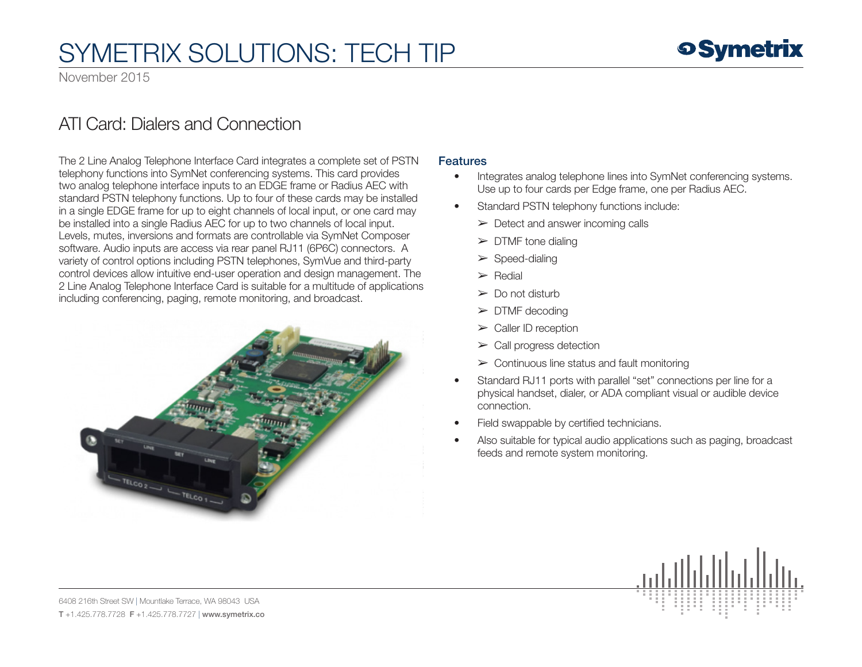November 2015

### ATI Card: Dialers and Connection

The 2 Line Analog Telephone Interface Card integrates a complete set of PSTN telephony functions into SymNet conferencing systems. This card provides two analog telephone interface inputs to an EDGE frame or Radius AEC with standard PSTN telephony functions. Up to four of these cards may be installed in a single EDGE frame for up to eight channels of local input, or one card may be installed into a single Radius AEC for up to two channels of local input. Levels, mutes, inversions and formats are controllable via SymNet Composer software. Audio inputs are access via rear panel RJ11 (6P6C) connectors. A variety of control options including PSTN telephones, SymVue and third-party control devices allow intuitive end-user operation and design management. The 2 Line Analog Telephone Interface Card is suitable for a multitude of applications including conferencing, paging, remote monitoring, and broadcast.



#### **Features**

- Integrates analog telephone lines into SymNet conferencing systems. Use up to four cards per Edge frame, one per Radius AEC.
- Standard PSTN telephony functions include:
	- $\triangleright$  Detect and answer incoming calls
	- $\triangleright$  DTMF tone dialing
	- $\triangleright$  Speed-dialing
	- $\triangleright$  Redial
	- $\triangleright$  Do not disturb
	- $\triangleright$  DTMF decoding
	- $\triangleright$  Caller ID reception
	- $\triangleright$  Call progress detection
	- $\triangleright$  Continuous line status and fault monitoring
- Standard RJ11 ports with parallel "set" connections per line for a physical handset, dialer, or ADA compliant visual or audible device connection.
- Field swappable by certified technicians.
- Also suitable for typical audio applications such as paging, broadcast feeds and remote system monitoring.



6408 216th Street SW | Mountlake Terrace, WA 98043 USA T +1.425.778.7728 F +1.425.778.7727 | www.symetrix.co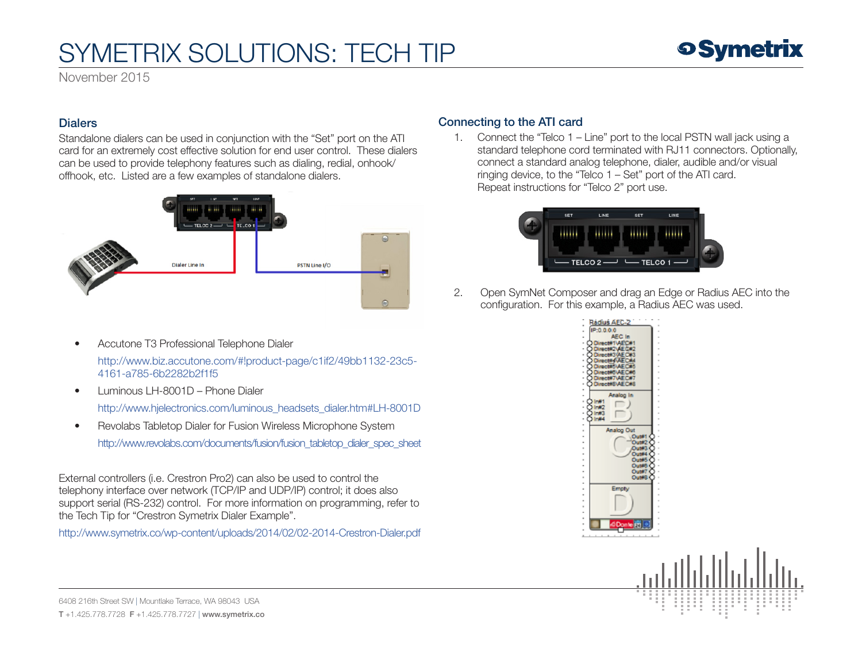November 2015

#### **Dialers**

Standalone dialers can be used in conjunction with the "Set" port on the ATI card for an extremely cost effective solution for end user control. These dialers can be used to provide telephony features such as dialing, redial, onhook/ offhook, etc. Listed are a few examples of standalone dialers.



• Accutone T3 Professional Telephone Dialer

 [http://www.biz.accutone.com/#!product-page/c1if2/49bb1132-23c5-](http://www.biz.accutone.com/#!product-page/c1if2/49bb1132-23c5-4161-a785-6b2282b2f1f5)  [4161-a785-6b2282b2f1f5](http://www.biz.accutone.com/#!product-page/c1if2/49bb1132-23c5-4161-a785-6b2282b2f1f5)

• Luminous LH-8001D – Phone Dialer

[http://www.hjelectronics.com/luminous\\_headsets\\_dialer.htm#LH-8001D](http://www.hjelectronics.com/luminous_headsets_dialer.htm#LH-8001D)

• Revolabs Tabletop Dialer for Fusion Wireless Microphone System [http://www.revolabs.com/documents/fusion/fusion\\_tabletop\\_dialer\\_spec\\_sheet](http://www.revolabs.com/documents/fusion/fusion_tabletop_dialer_spec_sheet)

External controllers (i.e. Crestron Pro2) can also be used to control the telephony interface over network (TCP/IP and UDP/IP) control; it does also support serial (RS-232) control. For more information on programming, refer to the Tech Tip for "Crestron Symetrix Dialer Example".

<http://www.symetrix.co/wp-content/uploads/2014/02/02-2014-Crestron-Dialer.pdf>

### Connecting to the ATI card

1. Connect the "Telco 1 – Line" port to the local PSTN wall jack using a standard telephone cord terminated with RJ11 connectors. Optionally, connect a standard analog telephone, dialer, audible and/or visual ringing device, to the "Telco 1 – Set" port of the ATI card. Repeat instructions for "Telco 2" port use.



2. Open SymNet Composer and drag an Edge or Radius AEC into the configuration. For this example, a Radius AEC was used.



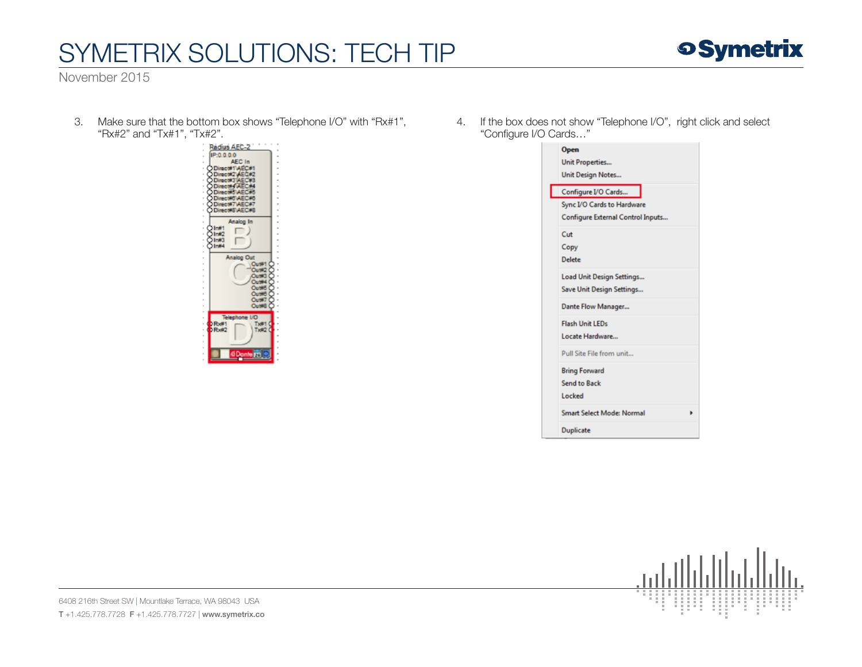November 2015

3. Make sure that the bottom box shows "Telephone I/O" with "Rx#1", "Rx#2" and "Tx#1", "Tx#2".



4. If the box does not show "Telephone I/O", right click and select "Configure I/O Cards…"

| Open                              |
|-----------------------------------|
| <b>Unit Properties</b>            |
| <b>Unit Design Notes</b>          |
| Configure I/O Cards               |
| Sync I/O Cards to Hardware        |
| Configure External Control Inputs |
| Cut                               |
| Copy                              |
| Delete                            |
| Load Unit Design Settings         |
| Save Unit Design Settings         |
| Dante Flow Manager                |
| <b>Flash Unit LEDs</b>            |
| Locate Hardware                   |
| Pull Site File from unit          |
| <b>Bring Forward</b>              |
| <b>Send to Back</b>               |
| Locked                            |
| <b>Smart Select Mode: Normal</b>  |
| <b>Duplicate</b>                  |



6408 216th Street SW | Mountlake Terrace, WA 98043 USA T +1.425.778.7728 F +1.425.778.7727 | www.symetrix.co